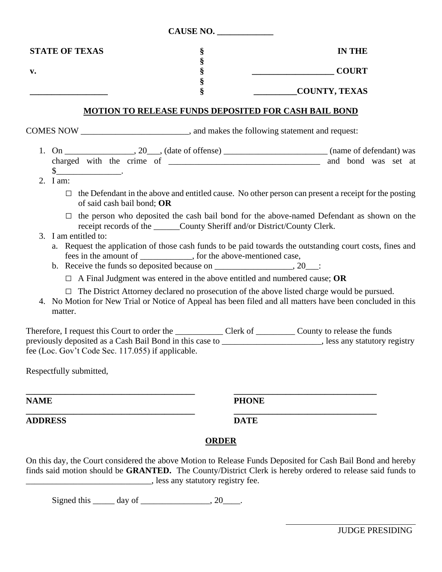|                                                                                             |                                                   |                                                                                                                                                                                       | CAUSE NO. |               |                                                                                                                                                                                                       |
|---------------------------------------------------------------------------------------------|---------------------------------------------------|---------------------------------------------------------------------------------------------------------------------------------------------------------------------------------------|-----------|---------------|-------------------------------------------------------------------------------------------------------------------------------------------------------------------------------------------------------|
|                                                                                             | <b>STATE OF TEXAS</b>                             | §                                                                                                                                                                                     |           |               | <b>IN THE</b>                                                                                                                                                                                         |
| $\mathbf{v}$ .                                                                              |                                                   | $\S$<br>§                                                                                                                                                                             |           |               | <b>COURT</b>                                                                                                                                                                                          |
|                                                                                             |                                                   | $\S$<br>Ş                                                                                                                                                                             |           | COUNTY, TEXAS |                                                                                                                                                                                                       |
|                                                                                             |                                                   | <b>MOTION TO RELEASE FUNDS DEPOSITED FOR CASH BAIL BOND</b>                                                                                                                           |           |               |                                                                                                                                                                                                       |
| COMES NOW _________________________________, and makes the following statement and request: |                                                   |                                                                                                                                                                                       |           |               |                                                                                                                                                                                                       |
|                                                                                             | $\frac{\text{S}}{\text{S}}$ .<br>2. I am:         |                                                                                                                                                                                       |           |               |                                                                                                                                                                                                       |
|                                                                                             | of said cash bail bond; OR                        |                                                                                                                                                                                       |           |               | $\Box$ the Defendant in the above and entitled cause. No other person can present a receipt for the posting                                                                                           |
|                                                                                             | 3. I am entitled to:                              | receipt records of the ______County Sheriff and/or District/County Clerk.                                                                                                             |           |               | the person who deposited the cash bail bond for the above-named Defendant as shown on the<br>a. Request the application of those cash funds to be paid towards the outstanding court costs, fines and |
|                                                                                             |                                                   | fees in the amount of _____________, for the above-mentioned case,<br>b. Receive the funds so deposited because on $\frac{1}{2}$ , 20 $\frac{1}{2}$ .                                 |           |               |                                                                                                                                                                                                       |
|                                                                                             | matter.                                           | $\Box$ A Final Judgment was entered in the above entitled and numbered cause; OR<br>$\Box$ The District Attorney declared no prosecution of the above listed charge would be pursued. |           |               | 4. No Motion for New Trial or Notice of Appeal has been filed and all matters have been concluded in this                                                                                             |
|                                                                                             | fee (Loc. Gov't Code Sec. 117.055) if applicable. |                                                                                                                                                                                       |           |               | previously deposited as a Cash Bail Bond in this case to _______________________, less any statutory registry                                                                                         |

Respectfully submitted,

**NAME PHONE**

**ADDRESS DATE**

**\_\_\_\_\_\_\_\_\_\_\_\_\_\_\_\_\_\_\_\_\_\_\_\_\_\_\_\_\_\_\_\_\_\_\_\_\_\_\_ \_\_\_\_\_\_\_\_\_\_\_\_\_\_\_\_\_\_\_\_\_\_\_\_\_\_\_\_\_\_\_\_\_**

## **ORDER**

**\_\_\_\_\_\_\_\_\_\_\_\_\_\_\_\_\_\_\_\_\_\_\_\_\_\_\_\_\_\_\_\_\_\_\_\_\_\_\_ \_\_\_\_\_\_\_\_\_\_\_\_\_\_\_\_\_\_\_\_\_\_\_\_\_\_\_\_\_\_\_\_\_**

On this day, the Court considered the above Motion to Release Funds Deposited for Cash Bail Bond and hereby finds said motion should be **GRANTED.** The County/District Clerk is hereby ordered to release said funds to \_\_\_\_\_\_\_\_\_\_\_\_\_\_\_\_\_\_\_\_\_\_\_\_\_\_\_\_\_, less any statutory registry fee.

Signed this  $\_\_\_\_\$  day of  $\_\_\_\_\_\_\$ , 20 $\_\_\_\_\$ .